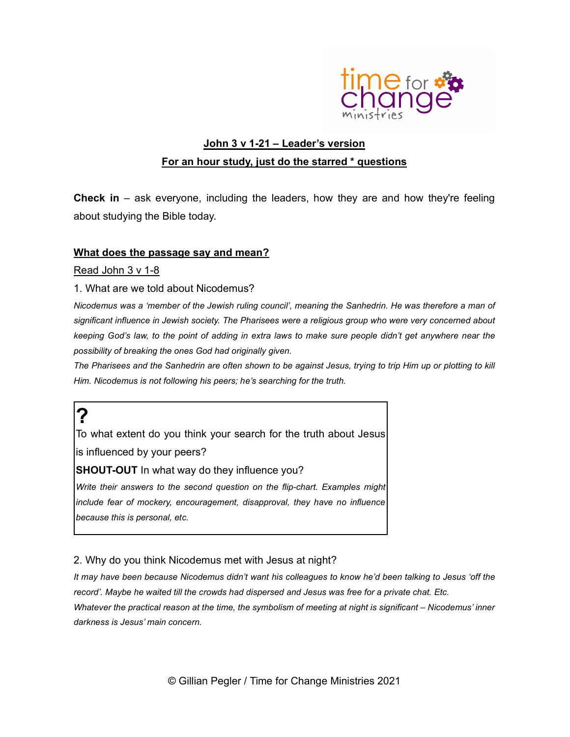

## John 3 v 1-21 - Leader's version For an hour study, just do the starred \* questions

**Check in** – ask everyone, including the leaders, how they are and how they're feeling about studying the Bible today.

#### What does the passage say and mean?

Read John 3 v 1-8

#### 1. What are we told about Nicodemus?

Nicodemus was a 'member of the Jewish ruling council', meaning the Sanhedrin. He was therefore a man of significant influence in Jewish society. The Pharisees were a religious group who were very concerned about keeping God's law, to the point of adding in extra laws to make sure people didn't get anywhere near the possibility of breaking the ones God had originally given.

The Pharisees and the Sanhedrin are often shown to be against Jesus, trying to trip Him up or plotting to kill Him. Nicodemus is not following his peers; he's searching for the truth.

## ?

To what extent do you think your search for the truth about Jesus is influenced by your peers?

**SHOUT-OUT** In what way do they influence you?

Write their answers to the second question on the flip-chart. Examples might include fear of mockery, encouragement, disapproval, they have no influence because this is personal, etc.

2. Why do you think Nicodemus met with Jesus at night?

It may have been because Nicodemus didn't want his colleagues to know he'd been talking to Jesus 'off the record'. Maybe he waited till the crowds had dispersed and Jesus was free for a private chat. Etc. Whatever the practical reason at the time, the symbolism of meeting at night is significant – Nicodemus' inner darkness is Jesus' main concern.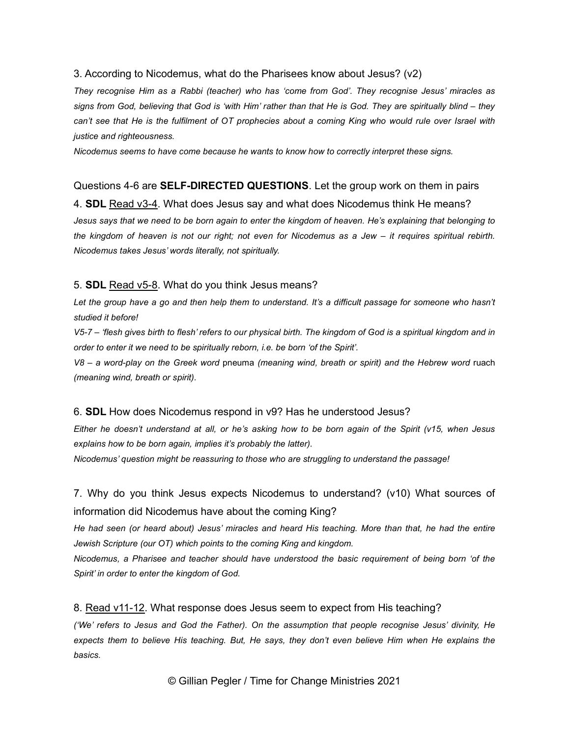#### 3. According to Nicodemus, what do the Pharisees know about Jesus? (v2)

They recognise Him as a Rabbi (teacher) who has 'come from God'. They recognise Jesus' miracles as signs from God, believing that God is 'with Him' rather than that He is God. They are spiritually blind – they can't see that He is the fulfilment of OT prophecies about a coming King who would rule over Israel with justice and righteousness.

Nicodemus seems to have come because he wants to know how to correctly interpret these signs.

#### Questions 4-6 are **SELF-DIRECTED QUESTIONS**. Let the group work on them in pairs

4. **SDL** Read v3-4. What does Jesus say and what does Nicodemus think He means?

Jesus says that we need to be born again to enter the kingdom of heaven. He's explaining that belonging to the kingdom of heaven is not our right; not even for Nicodemus as a Jew – it requires spiritual rebirth. Nicodemus takes Jesus' words literally, not spiritually.

#### 5. **SDL** Read v5-8. What do you think Jesus means?

Let the group have a go and then help them to understand. It's a difficult passage for someone who hasn't studied it before!

V5-7 – 'flesh gives birth to flesh' refers to our physical birth. The kingdom of God is a spiritual kingdom and in order to enter it we need to be spiritually reborn, i.e. be born 'of the Spirit'.

V8 – a word-play on the Greek word pneuma (meaning wind, breath or spirit) and the Hebrew word ruach (meaning wind, breath or spirit).

#### 6. SDL How does Nicodemus respond in v9? Has he understood Jesus?

Either he doesn't understand at all, or he's asking how to be born again of the Spirit (v15, when Jesus explains how to be born again, implies it's probably the latter).

Nicodemus' question might be reassuring to those who are struggling to understand the passage!

7. Why do you think Jesus expects Nicodemus to understand? (v10) What sources of information did Nicodemus have about the coming King?

He had seen (or heard about) Jesus' miracles and heard His teaching. More than that, he had the entire Jewish Scripture (our OT) which points to the coming King and kingdom.

Nicodemus, a Pharisee and teacher should have understood the basic requirement of being born 'of the Spirit' in order to enter the kingdom of God.

#### 8. Read v11-12. What response does Jesus seem to expect from His teaching?

('We' refers to Jesus and God the Father). On the assumption that people recognise Jesus' divinity, He expects them to believe His teaching. But, He says, they don't even believe Him when He explains the basics.

© Gillian Pegler / Time for Change Ministries 2021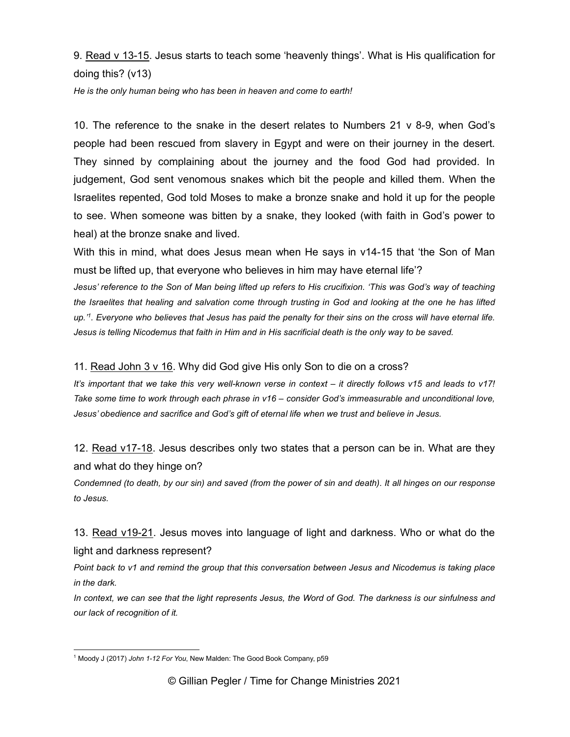9. Read v 13-15. Jesus starts to teach some 'heavenly things'. What is His qualification for doing this? (v13)

He is the only human being who has been in heaven and come to earth!

10. The reference to the snake in the desert relates to Numbers 21 v 8-9, when God's people had been rescued from slavery in Egypt and were on their journey in the desert. They sinned by complaining about the journey and the food God had provided. In judgement, God sent venomous snakes which bit the people and killed them. When the Israelites repented, God told Moses to make a bronze snake and hold it up for the people to see. When someone was bitten by a snake, they looked (with faith in God's power to heal) at the bronze snake and lived.

With this in mind, what does Jesus mean when He says in v14-15 that 'the Son of Man must be lifted up, that everyone who believes in him may have eternal life'?

Jesus' reference to the Son of Man being lifted up refers to His crucifixion. 'This was God's way of teaching the Israelites that healing and salvation come through trusting in God and looking at the one he has lifted up.'<sup>1</sup> . Everyone who believes that Jesus has paid the penalty for their sins on the cross will have eternal life. Jesus is telling Nicodemus that faith in Him and in His sacrificial death is the only way to be saved.

11. Read John 3 v 16. Why did God give His only Son to die on a cross?

It's important that we take this very well-known verse in context – it directly follows v15 and leads to v17! Take some time to work through each phrase in v16 – consider God's immeasurable and unconditional love, Jesus' obedience and sacrifice and God's gift of eternal life when we trust and believe in Jesus.

12. Read v17-18. Jesus describes only two states that a person can be in. What are they and what do they hinge on?

Condemned (to death, by our sin) and saved (from the power of sin and death). It all hinges on our response to Jesus.

13. Read v19-21. Jesus moves into language of light and darkness. Who or what do the light and darkness represent?

Point back to v1 and remind the group that this conversation between Jesus and Nicodemus is taking place in the dark.

In context, we can see that the light represents Jesus, the Word of God. The darkness is our sinfulness and our lack of recognition of it.

<sup>&</sup>lt;sup>1</sup> Moody J (2017) John 1-12 For You, New Malden: The Good Book Company, p59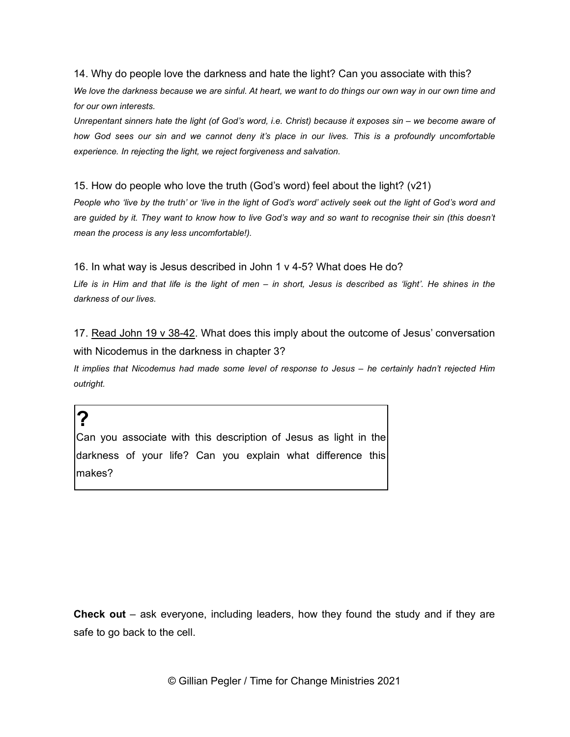14. Why do people love the darkness and hate the light? Can you associate with this?

We love the darkness because we are sinful. At heart, we want to do things our own way in our own time and for our own interests.

Unrepentant sinners hate the light (of God's word, i.e. Christ) because it exposes sin – we become aware of how God sees our sin and we cannot deny it's place in our lives. This is a profoundly uncomfortable experience. In rejecting the light, we reject forgiveness and salvation.

15. How do people who love the truth (God's word) feel about the light? (v21)

People who 'live by the truth' or 'live in the light of God's word' actively seek out the light of God's word and are guided by it. They want to know how to live God's way and so want to recognise their sin (this doesn't mean the process is any less uncomfortable!).

16. In what way is Jesus described in John 1 v 4-5? What does He do?

Life is in Him and that life is the light of men – in short, Jesus is described as 'light'. He shines in the darkness of our lives.

17. Read John 19 v 38-42. What does this imply about the outcome of Jesus' conversation with Nicodemus in the darkness in chapter 3?

It implies that Nicodemus had made some level of response to Jesus - he certainly hadn't rejected Him outright.

Can you associate with this description of Jesus as light in the darkness of your life? Can you explain what difference this makes?

?

Check out – ask everyone, including leaders, how they found the study and if they are safe to go back to the cell.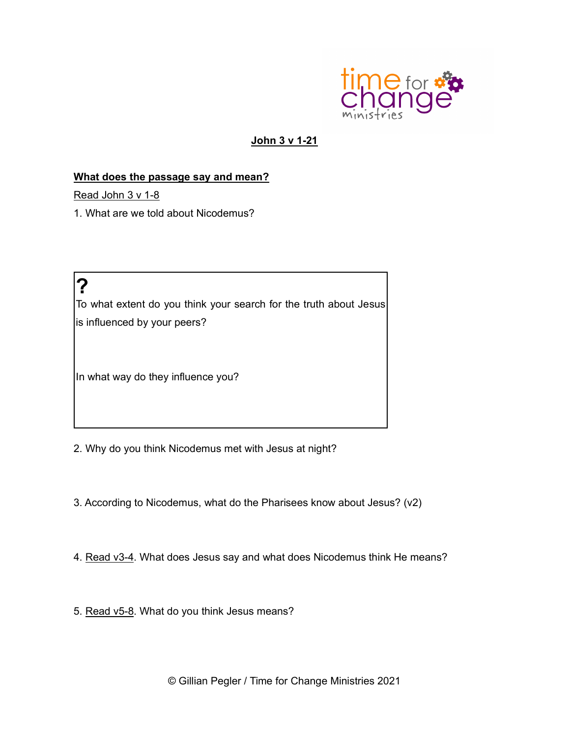

### John 3 v 1-21

### What does the passage say and mean?

Read John 3 v 1-8

1. What are we told about Nicodemus?

?

To what extent do you think your search for the truth about Jesus is influenced by your peers?

In what way do they influence you?

2. Why do you think Nicodemus met with Jesus at night?

3. According to Nicodemus, what do the Pharisees know about Jesus? (v2)

4. Read v3-4. What does Jesus say and what does Nicodemus think He means?

5. Read v5-8. What do you think Jesus means?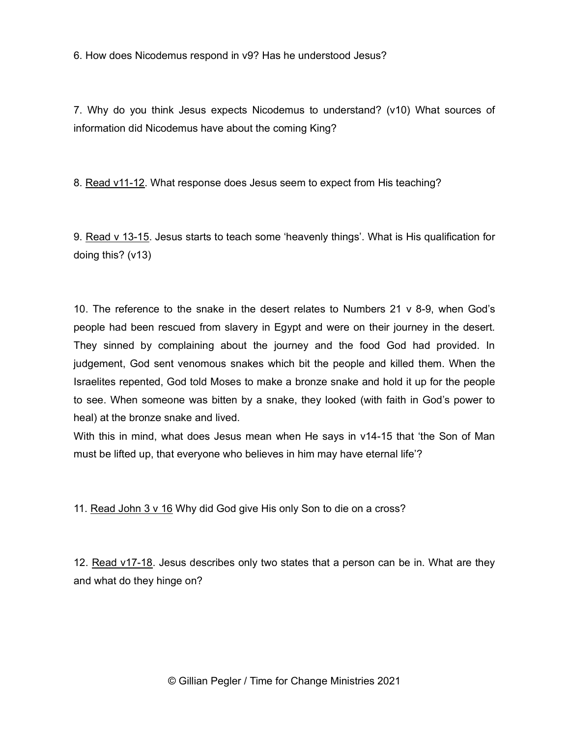6. How does Nicodemus respond in v9? Has he understood Jesus?

7. Why do you think Jesus expects Nicodemus to understand? (v10) What sources of information did Nicodemus have about the coming King?

8. Read v11-12. What response does Jesus seem to expect from His teaching?

9. Read v 13-15. Jesus starts to teach some 'heavenly things'. What is His qualification for doing this? (v13)

10. The reference to the snake in the desert relates to Numbers 21 v 8-9, when God's people had been rescued from slavery in Egypt and were on their journey in the desert. They sinned by complaining about the journey and the food God had provided. In judgement, God sent venomous snakes which bit the people and killed them. When the Israelites repented, God told Moses to make a bronze snake and hold it up for the people to see. When someone was bitten by a snake, they looked (with faith in God's power to heal) at the bronze snake and lived.

With this in mind, what does Jesus mean when He says in v14-15 that 'the Son of Man must be lifted up, that everyone who believes in him may have eternal life'?

11. Read John 3 v 16 Why did God give His only Son to die on a cross?

12. Read v17-18. Jesus describes only two states that a person can be in. What are they and what do they hinge on?